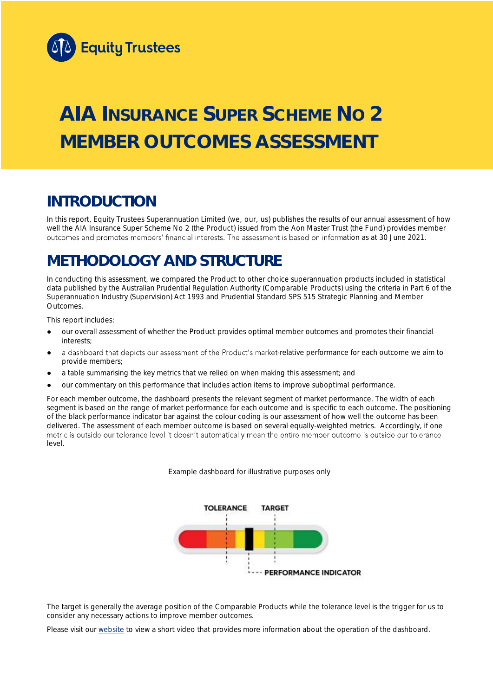

# **AIA INSURANCE SUPER SCHEME NO 2 MEMBER OUTCOMES ASSESSMENT**

## **INTRODUCTION**

In this report, Equity Trustees Superannuation Limited (we, our, us) publishes the results of our annual assessment of how well the AIA Insurance Super Scheme No 2 (the Product) issued from the Aon Master Trust (the Fund) provides member outcomes and promotes members' financial interests. The assessment is based on information as at 30 June 2021.

## **METHODOLOGY AND STRUCTURE**

In conducting this assessment, we compared the Product to other choice superannuation products included in statistical data published by the Australian Prudential Regulation Authority (Comparable Products) using the criteria in Part 6 of the *Superannuation Industry (Supervision) Act 1993* and Prudential Standard SPS 515 *Strategic Planning and Member Outcomes*.

This report includes:

- our overall assessment of whether the Product provides optimal member outcomes and promotes their financial interests;
- a dashboard that depicts our assessment of the Product's market-relative performance for each outcome we aim to provide members;
- a table summarising the key metrics that we relied on when making this assessment; and
- our commentary on this performance that includes action items to improve suboptimal performance.

For each member outcome, the dashboard presents the relevant segment of market performance. The width of each segment is based on the range of market performance for each outcome and is specific to each outcome. The positioning of the black performance indicator bar against the colour coding is our assessment of how well the outcome has been delivered. The assessment of each member outcome is based on several equally-weighted metrics. Accordingly, if one<br>metric is outside our tolerance level it doesn't automatically mean the entire member outcome is outside ou level.

*Example dashboard for illustrative purposes only*



The target is generally the average position of the Comparable Products while the tolerance level is the trigger for us to consider any necessary actions to improve member outcomes.

Please visit our [website](https://www.eqt.com.au/superannuation) to view a short video that provides more information about the operation of the dashboard.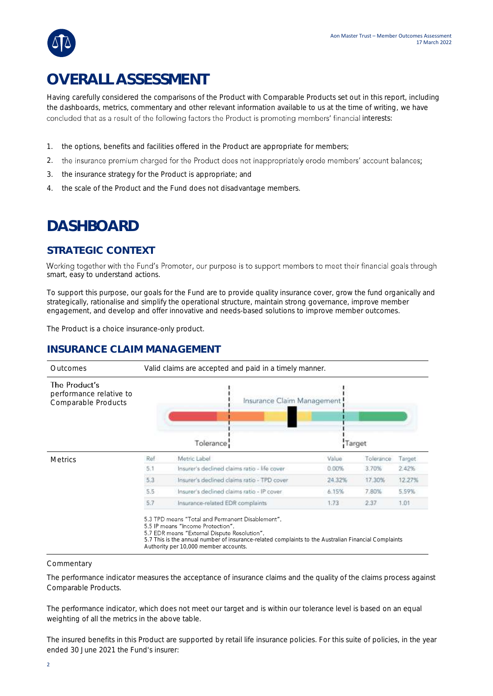## **OVERALL ASSESSMENT**

Having carefully considered the comparisons of the Product with Comparable Products set out in this report, including the dashboards, metrics, commentary and other relevant information available to us at the time of writing, we have concluded that as a result of the following factors the Product is promoting members' financial interests:

- 1. the options, benefits and facilities offered in the Product are appropriate for members;
- 2. the insurance premium charged for the Product does not inappropriately erode members' account balances;
- 3. the insurance strategy for the Product is appropriate; and
- 4. the scale of the Product and the Fund does not disadvantage members.

## **DASHBOARD**

### **STRATEGIC CONTEXT**

Working together with the Fund's Promoter, our purpose is to support members to meet their financial goals through smart, easy to understand actions.

To support this purpose, our goals for the Fund are to provide quality insurance cover, grow the fund organically and strategically, rationalise and simplify the operational structure, maintain strong governance, improve member engagement, and develop and offer innovative and needs-based solutions to improve member outcomes.

The Product is a choice insurance-only product.

### **INSURANCE CLAIM MANAGEMENT**



#### **Commentary**

The performance indicator measures the acceptance of insurance claims and the quality of the claims process against Comparable Products.

The performance indicator, which does not meet our target and is within our tolerance level is based on an equal weighting of all the metrics in the above table.

The insured benefits in this Product are supported by retail life insurance policies. For this suite of policies, in the year ended 30 June 2021 the Fund's insurer: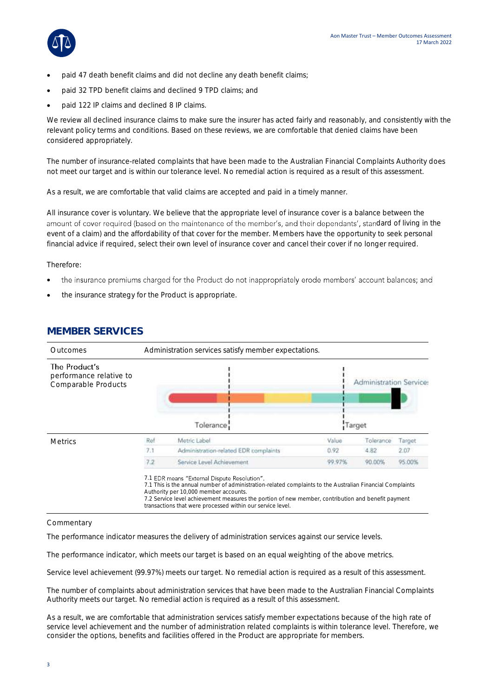

- paid 47 death benefit claims and did not decline any death benefit claims;
- paid 32 TPD benefit claims and declined 9 TPD claims; and
- paid 122 IP claims and declined 8 IP claims.

We review all declined insurance claims to make sure the insurer has acted fairly and reasonably, and consistently with the relevant policy terms and conditions. Based on these reviews, we are comfortable that denied claims have been considered appropriately.

The number of insurance-related complaints that have been made to the Australian Financial Complaints Authority does not meet our target and is within our tolerance level. No remedial action is required as a result of this assessment.

As a result, we are comfortable that valid claims are accepted and paid in a timely manner.

All insurance cover is voluntary. We believe that the appropriate level of insurance cover is a balance between the amount of cover required (based on the maintenance of the member's, and their dependants', standard of living in the event of a claim) and the affordability of that cover for the member. Members have the opportunity to seek personal financial advice if required, select their own level of insurance cover and cancel their cover if no longer required.

Therefore:

- the insurance premiums charged for the Product do not inappropriately erode members' account balances; and •
- the insurance strategy for the Product is appropriate.



### **MEMBER SERVICES**

#### **Commentary**

The performance indicator measures the delivery of administration services against our service levels.

The performance indicator, which meets our target is based on an equal weighting of the above metrics.

Service level achievement (99.97%) meets our target. No remedial action is required as a result of this assessment.

The number of complaints about administration services that have been made to the Australian Financial Complaints Authority meets our target. No remedial action is required as a result of this assessment.

As a result, we are comfortable that administration services satisfy member expectations because of the high rate of service level achievement and the number of administration related complaints is within tolerance level. Therefore, we consider the options, benefits and facilities offered in the Product are appropriate for members.